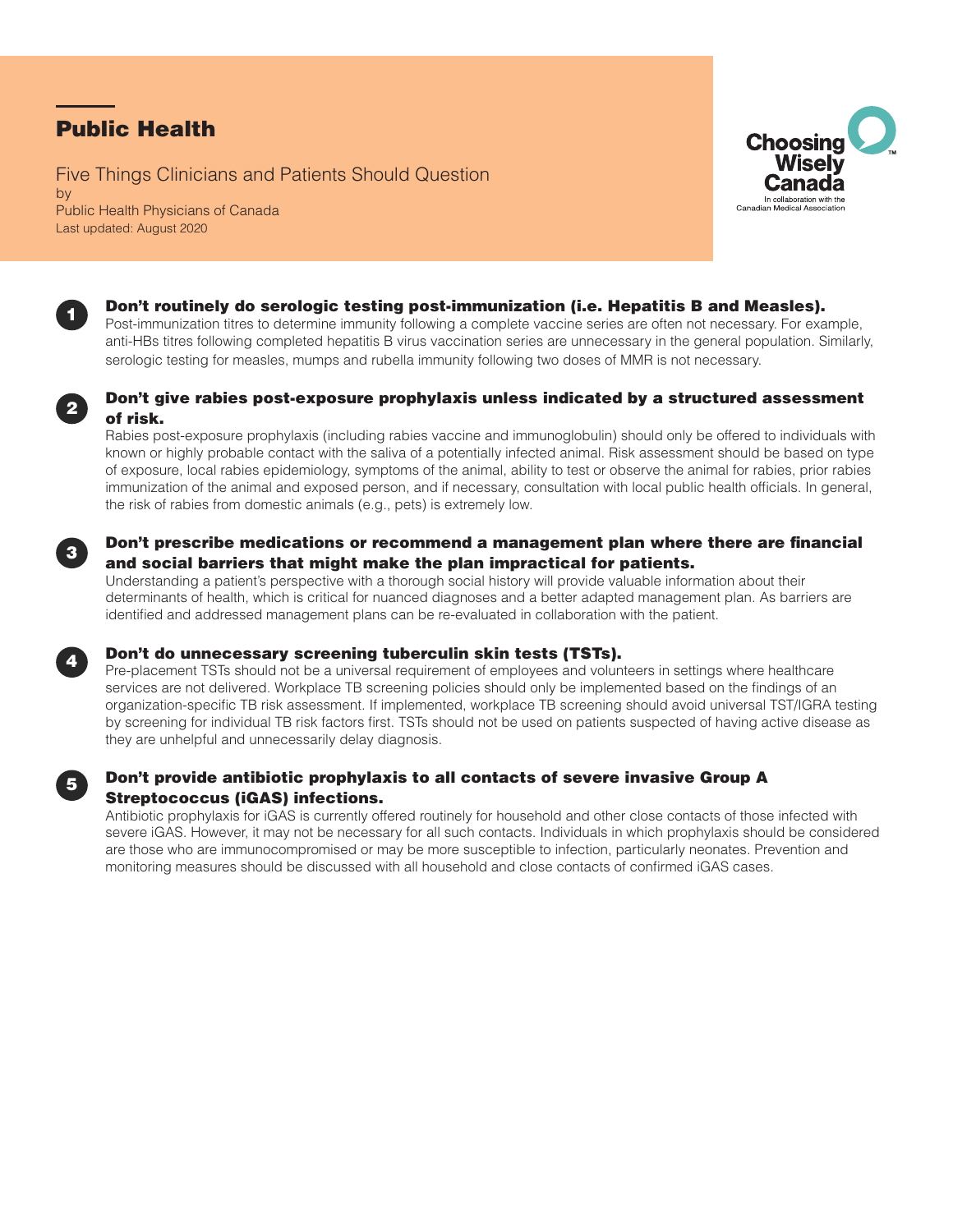# Public Health

Five Things Clinicians and Patients Should Question by Public Health Physicians of Canada Last updated: August 2020





### Don't routinely do serologic testing post-immunization (i.e. Hepatitis B and Measles).

Post-immunization titres to determine immunity following a complete vaccine series are often not necessary. For example, anti-HBs titres following completed hepatitis B virus vaccination series are unnecessary in the general population. Similarly, serologic testing for measles, mumps and rubella immunity following two doses of MMR is not necessary.



3

4

### Don't give rabies post-exposure prophylaxis unless indicated by a structured assessment of risk.

Rabies post-exposure prophylaxis (including rabies vaccine and immunoglobulin) should only be offered to individuals with known or highly probable contact with the saliva of a potentially infected animal. Risk assessment should be based on type of exposure, local rabies epidemiology, symptoms of the animal, ability to test or observe the animal for rabies, prior rabies immunization of the animal and exposed person, and if necessary, consultation with local public health officials. In general, the risk of rabies from domestic animals (e.g., pets) is extremely low.

### Don't prescribe medications or recommend a management plan where there are financial and social barriers that might make the plan impractical for patients.

Understanding a patient's perspective with a thorough social history will provide valuable information about their determinants of health, which is critical for nuanced diagnoses and a better adapted management plan. As barriers are identified and addressed management plans can be re-evaluated in collaboration with the patient.

### Don't do unnecessary screening tuberculin skin tests (TSTs).

Pre-placement TSTs should not be a universal requirement of employees and volunteers in settings where healthcare services are not delivered. Workplace TB screening policies should only be implemented based on the findings of an organization-specific TB risk assessment. If implemented, workplace TB screening should avoid universal TST/IGRA testing by screening for individual TB risk factors first. TSTs should not be used on patients suspected of having active disease as they are unhelpful and unnecessarily delay diagnosis.



## Don't provide antibiotic prophylaxis to all contacts of severe invasive Group A Streptococcus (iGAS) infections.

Antibiotic prophylaxis for iGAS is currently offered routinely for household and other close contacts of those infected with severe iGAS. However, it may not be necessary for all such contacts. Individuals in which prophylaxis should be considered are those who are immunocompromised or may be more susceptible to infection, particularly neonates. Prevention and monitoring measures should be discussed with all household and close contacts of confirmed iGAS cases.